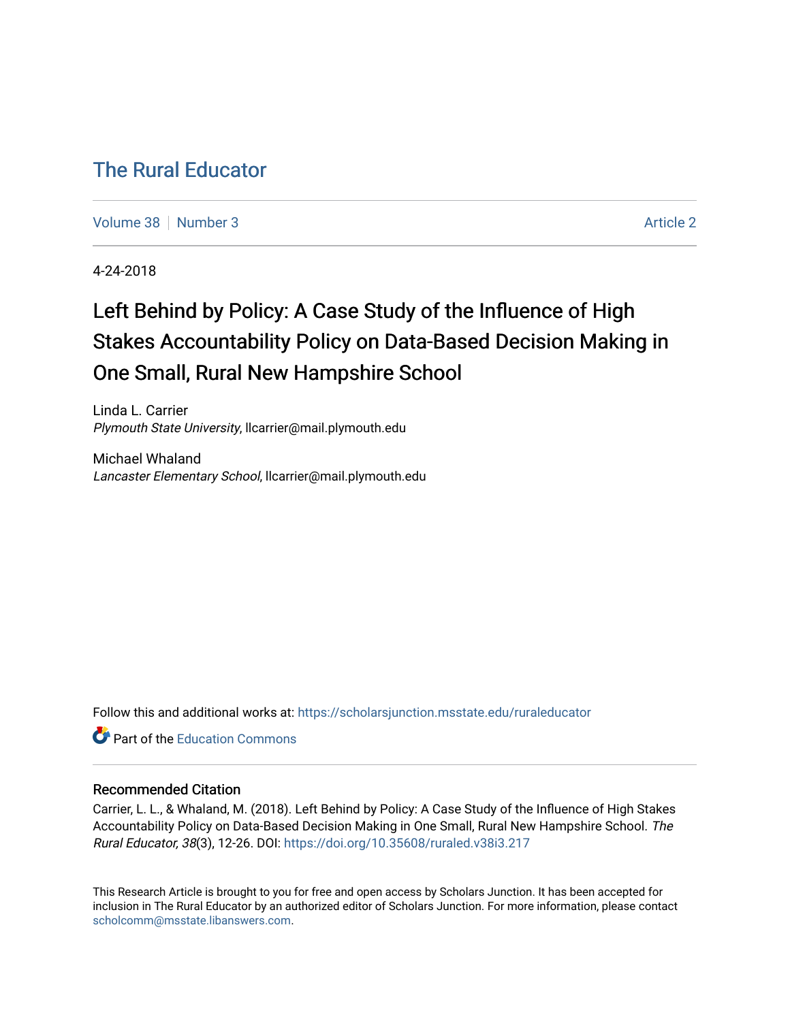# [The Rural Educator](https://scholarsjunction.msstate.edu/ruraleducator)

[Volume 38](https://scholarsjunction.msstate.edu/ruraleducator/vol38) [Number 3](https://scholarsjunction.msstate.edu/ruraleducator/vol38/iss3) [Article 2](https://scholarsjunction.msstate.edu/ruraleducator/vol38/iss3/2) Article 2

4-24-2018

# Left Behind by Policy: A Case Study of the Influence of High Stakes Accountability Policy on Data-Based Decision Making in One Small, Rural New Hampshire School

Linda L. Carrier Plymouth State University, llcarrier@mail.plymouth.edu

Michael Whaland Lancaster Elementary School, llcarrier@mail.plymouth.edu

Follow this and additional works at: [https://scholarsjunction.msstate.edu/ruraleducator](https://scholarsjunction.msstate.edu/ruraleducator?utm_source=scholarsjunction.msstate.edu%2Fruraleducator%2Fvol38%2Fiss3%2F2&utm_medium=PDF&utm_campaign=PDFCoverPages)

**C**<sup> $\bullet$ </sup> Part of the [Education Commons](http://network.bepress.com/hgg/discipline/784?utm_source=scholarsjunction.msstate.edu%2Fruraleducator%2Fvol38%2Fiss3%2F2&utm_medium=PDF&utm_campaign=PDFCoverPages)

# Recommended Citation

Carrier, L. L., & Whaland, M. (2018). Left Behind by Policy: A Case Study of the Influence of High Stakes Accountability Policy on Data-Based Decision Making in One Small, Rural New Hampshire School. The Rural Educator, 38(3), 12-26. DOI:<https://doi.org/10.35608/ruraled.v38i3.217>

This Research Article is brought to you for free and open access by Scholars Junction. It has been accepted for inclusion in The Rural Educator by an authorized editor of Scholars Junction. For more information, please contact [scholcomm@msstate.libanswers.com.](mailto:scholcomm@msstate.libanswers.com)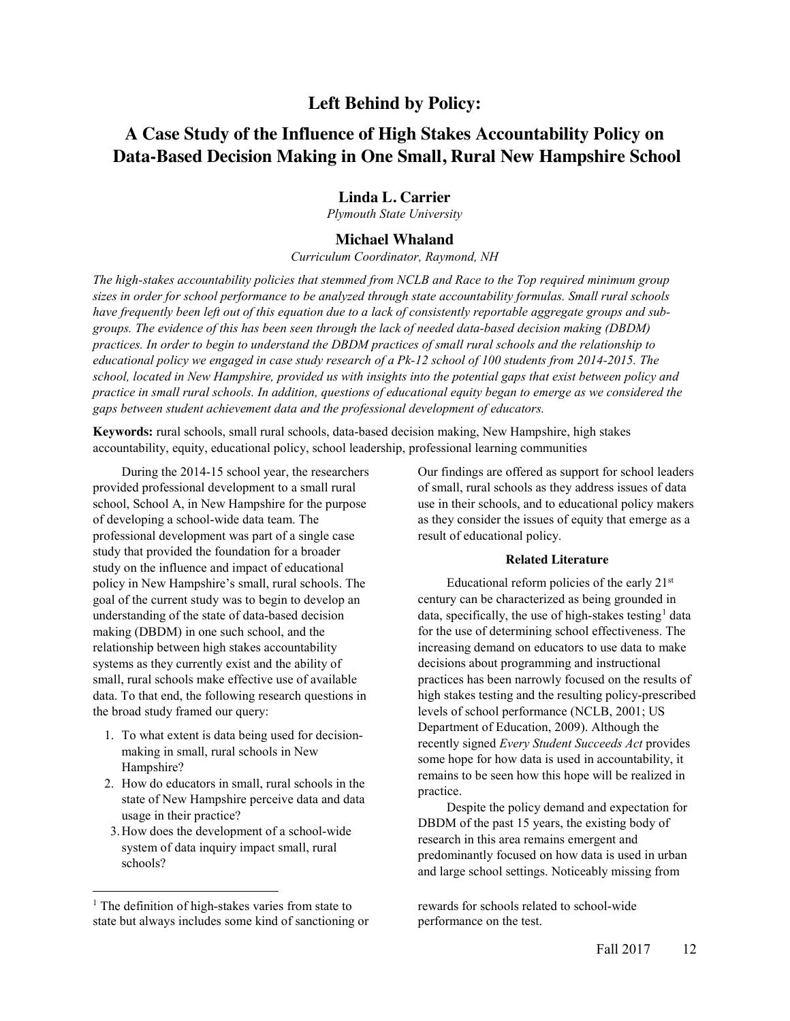# **Left Behind by Policy:**

# **A Case Study of the Influence of High Stakes Accountability Policy on Data-Based Decision Making in One Small, Rural New Hampshire School**

# **Linda L. Carrier**

*Plymouth State University*

# **Michael Whaland**

*Curriculum Coordinator, Raymond, NH*

*The high-stakes accountability policies that stemmed from NCLB and Race to the Top required minimum group sizes in order for school performance to be analyzed through state accountability formulas. Small rural schools have frequently been left out of this equation due to a lack of consistently reportable aggregate groups and subgroups. The evidence of this has been seen through the lack of needed data-based decision making (DBDM) practices. In order to begin to understand the DBDM practices of small rural schools and the relationship to educational policy we engaged in case study research of a Pk-12 school of 100 students from 2014-2015. The school, located in New Hampshire, provided us with insights into the potential gaps that exist between policy and practice in small rural schools. In addition, questions of educational equity began to emerge as we considered the gaps between student achievement data and the professional development of educators.*

**Keywords:** rural schools, small rural schools, data-based decision making, New Hampshire, high stakes accountability, equity, educational policy, school leadership, professional learning communities

During the 2014-15 school year, the researchers provided professional development to a small rural school, School A, in New Hampshire for the purpose of developing a school-wide data team. The professional development was part of a single case study that provided the foundation for a broader study on the influence and impact of educational policy in New Hampshire's small, rural schools. The goal of the current study was to begin to develop an understanding of the state of data-based decision making (DBDM) in one such school, and the relationship between high stakes accountability systems as they currently exist and the ability of small, rural schools make effective use of available data. To that end, the following research questions in the broad study framed our query:

- 1. To what extent is data being used for decisionmaking in small, rural schools in New Hampshire?
- 2. How do educators in small, rural schools in the state of New Hampshire perceive data and data usage in their practice?
- 3.How does the development of a school-wide system of data inquiry impact small, rural schools?

l

Our findings are offered as support for school leaders of small, rural schools as they address issues of data use in their schools, and to educational policy makers as they consider the issues of equity that emerge as a result of educational policy.

### **Related Literature**

Educational reform policies of the early 21st century can be characterized as being grounded in data, specifically, the use of high-stakes testing<sup>1</sup> data for the use of determining school effectiveness. The increasing demand on educators to use data to make decisions about programming and instructional practices has been narrowly focused on the results of high stakes testing and the resulting policy-prescribed levels of school performance (NCLB, 2001; US Department of Education, 2009). Although the recently signed *Every Student Succeeds Act* provides some hope for how data is used in accountability, it remains to be seen how this hope will be realized in practice.

Despite the policy demand and expectation for DBDM of the past 15 years, the existing body of research in this area remains emergent and predominantly focused on how data is used in urban and large school settings. Noticeably missing from

rewards for schools related to school-wide performance on the test.

<sup>&</sup>lt;sup>1</sup> The definition of high-stakes varies from state to state but always includes some kind of sanctioning or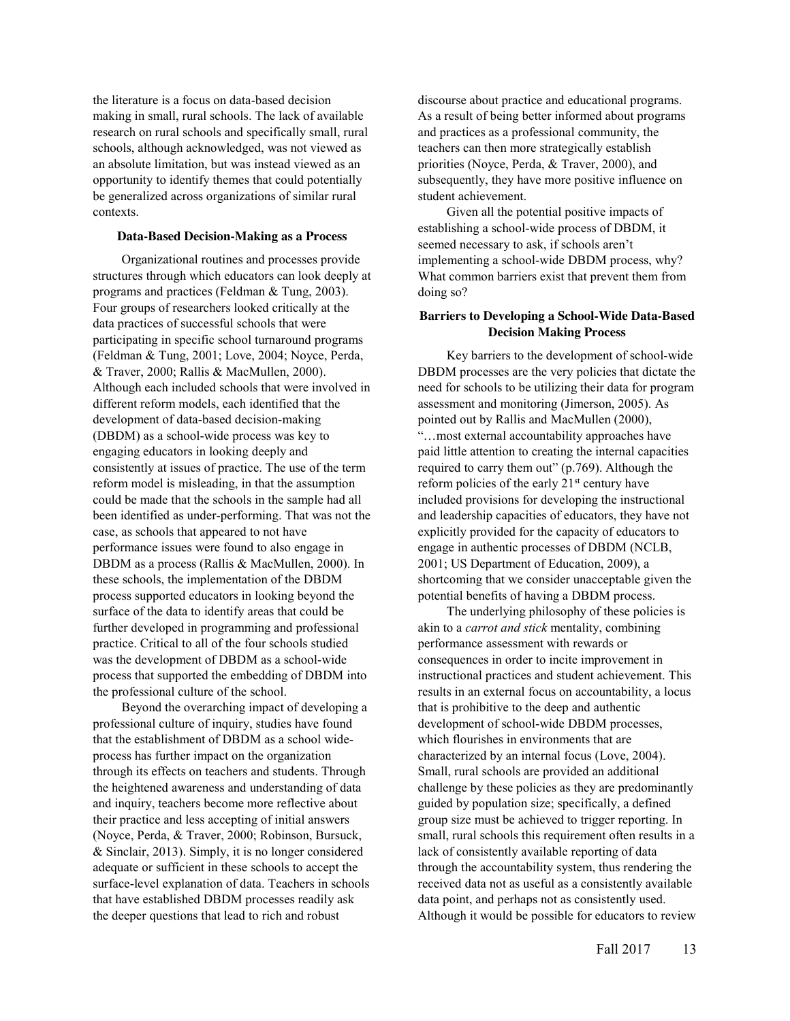the literature is a focus on data-based decision making in small, rural schools. The lack of available research on rural schools and specifically small, rural schools, although acknowledged, was not viewed as an absolute limitation, but was instead viewed as an opportunity to identify themes that could potentially be generalized across organizations of similar rural contexts.

#### **Data-Based Decision-Making as a Process**

Organizational routines and processes provide structures through which educators can look deeply at programs and practices (Feldman & Tung, 2003). Four groups of researchers looked critically at the data practices of successful schools that were participating in specific school turnaround programs (Feldman & Tung, 2001; Love, 2004; Noyce, Perda, & Traver, 2000; Rallis & MacMullen, 2000). Although each included schools that were involved in different reform models, each identified that the development of data-based decision-making (DBDM) as a school-wide process was key to engaging educators in looking deeply and consistently at issues of practice. The use of the term reform model is misleading, in that the assumption could be made that the schools in the sample had all been identified as under-performing. That was not the case, as schools that appeared to not have performance issues were found to also engage in DBDM as a process (Rallis & MacMullen, 2000). In these schools, the implementation of the DBDM process supported educators in looking beyond the surface of the data to identify areas that could be further developed in programming and professional practice. Critical to all of the four schools studied was the development of DBDM as a school-wide process that supported the embedding of DBDM into the professional culture of the school.

Beyond the overarching impact of developing a professional culture of inquiry, studies have found that the establishment of DBDM as a school wideprocess has further impact on the organization through its effects on teachers and students. Through the heightened awareness and understanding of data and inquiry, teachers become more reflective about their practice and less accepting of initial answers (Noyce, Perda, & Traver, 2000; Robinson, Bursuck, & Sinclair, 2013). Simply, it is no longer considered adequate or sufficient in these schools to accept the surface-level explanation of data. Teachers in schools that have established DBDM processes readily ask the deeper questions that lead to rich and robust

discourse about practice and educational programs. As a result of being better informed about programs and practices as a professional community, the teachers can then more strategically establish priorities (Noyce, Perda, & Traver, 2000), and subsequently, they have more positive influence on student achievement.

Given all the potential positive impacts of establishing a school-wide process of DBDM, it seemed necessary to ask, if schools aren't implementing a school-wide DBDM process, why? What common barriers exist that prevent them from doing so?

## **Barriers to Developing a School-Wide Data-Based Decision Making Process**

Key barriers to the development of school-wide DBDM processes are the very policies that dictate the need for schools to be utilizing their data for program assessment and monitoring (Jimerson, 2005). As pointed out by Rallis and MacMullen (2000), "…most external accountability approaches have paid little attention to creating the internal capacities required to carry them out" (p.769). Although the reform policies of the early 21st century have included provisions for developing the instructional and leadership capacities of educators, they have not explicitly provided for the capacity of educators to engage in authentic processes of DBDM (NCLB, 2001; US Department of Education, 2009), a shortcoming that we consider unacceptable given the potential benefits of having a DBDM process.

The underlying philosophy of these policies is akin to a *carrot and stick* mentality, combining performance assessment with rewards or consequences in order to incite improvement in instructional practices and student achievement. This results in an external focus on accountability, a locus that is prohibitive to the deep and authentic development of school-wide DBDM processes, which flourishes in environments that are characterized by an internal focus (Love, 2004). Small, rural schools are provided an additional challenge by these policies as they are predominantly guided by population size; specifically, a defined group size must be achieved to trigger reporting. In small, rural schools this requirement often results in a lack of consistently available reporting of data through the accountability system, thus rendering the received data not as useful as a consistently available data point, and perhaps not as consistently used. Although it would be possible for educators to review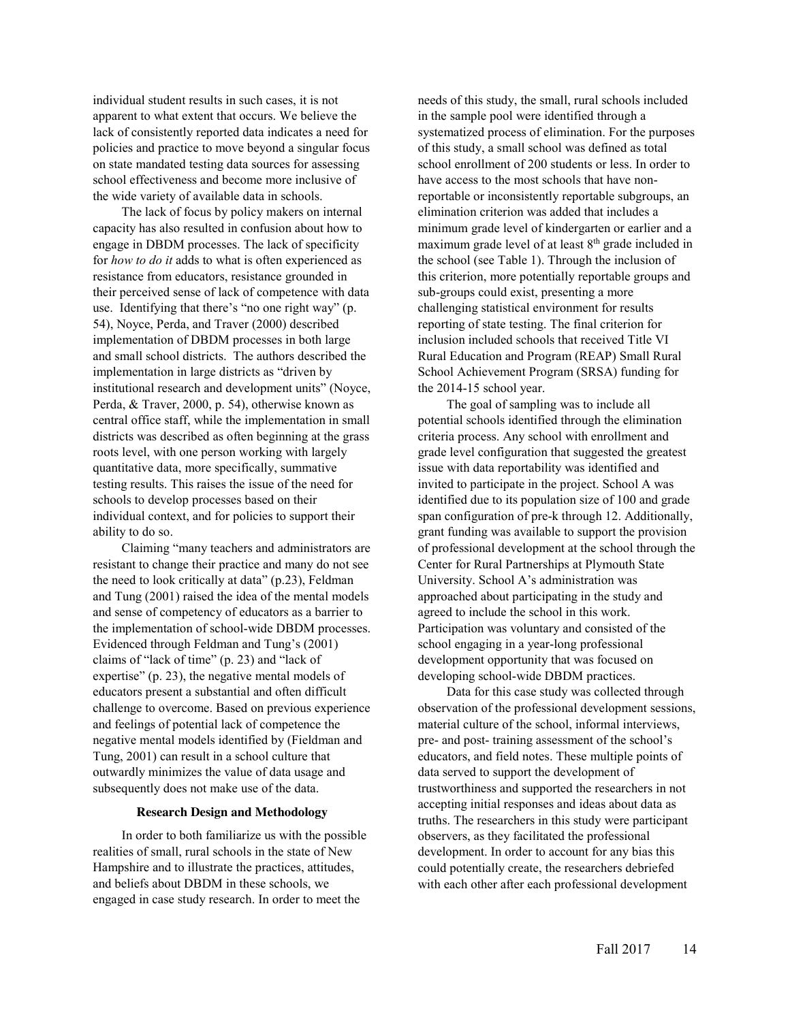individual student results in such cases, it is not apparent to what extent that occurs. We believe the lack of consistently reported data indicates a need for policies and practice to move beyond a singular focus on state mandated testing data sources for assessing school effectiveness and become more inclusive of the wide variety of available data in schools.

The lack of focus by policy makers on internal capacity has also resulted in confusion about how to engage in DBDM processes. The lack of specificity for *how to do it* adds to what is often experienced as resistance from educators, resistance grounded in their perceived sense of lack of competence with data use. Identifying that there's "no one right way" (p. 54), Noyce, Perda, and Traver (2000) described implementation of DBDM processes in both large and small school districts. The authors described the implementation in large districts as "driven by institutional research and development units" (Noyce, Perda, & Traver, 2000, p. 54), otherwise known as central office staff, while the implementation in small districts was described as often beginning at the grass roots level, with one person working with largely quantitative data, more specifically, summative testing results. This raises the issue of the need for schools to develop processes based on their individual context, and for policies to support their ability to do so.

Claiming "many teachers and administrators are resistant to change their practice and many do not see the need to look critically at data" (p.23), Feldman and Tung (2001) raised the idea of the mental models and sense of competency of educators as a barrier to the implementation of school-wide DBDM processes. Evidenced through Feldman and Tung's (2001) claims of "lack of time" (p. 23) and "lack of expertise" (p. 23), the negative mental models of educators present a substantial and often difficult challenge to overcome. Based on previous experience and feelings of potential lack of competence the negative mental models identified by (Fieldman and Tung, 2001) can result in a school culture that outwardly minimizes the value of data usage and subsequently does not make use of the data.

#### **Research Design and Methodology**

In order to both familiarize us with the possible realities of small, rural schools in the state of New Hampshire and to illustrate the practices, attitudes, and beliefs about DBDM in these schools, we engaged in case study research. In order to meet the

needs of this study, the small, rural schools included in the sample pool were identified through a systematized process of elimination. For the purposes of this study, a small school was defined as total school enrollment of 200 students or less. In order to have access to the most schools that have nonreportable or inconsistently reportable subgroups, an elimination criterion was added that includes a minimum grade level of kindergarten or earlier and a maximum grade level of at least 8<sup>th</sup> grade included in the school (see Table 1). Through the inclusion of this criterion, more potentially reportable groups and sub-groups could exist, presenting a more challenging statistical environment for results reporting of state testing. The final criterion for inclusion included schools that received Title VI Rural Education and Program (REAP) Small Rural School Achievement Program (SRSA) funding for the 2014-15 school year.

The goal of sampling was to include all potential schools identified through the elimination criteria process. Any school with enrollment and grade level configuration that suggested the greatest issue with data reportability was identified and invited to participate in the project. School A was identified due to its population size of 100 and grade span configuration of pre-k through 12. Additionally, grant funding was available to support the provision of professional development at the school through the Center for Rural Partnerships at Plymouth State University. School A's administration was approached about participating in the study and agreed to include the school in this work. Participation was voluntary and consisted of the school engaging in a year-long professional development opportunity that was focused on developing school-wide DBDM practices.

Data for this case study was collected through observation of the professional development sessions, material culture of the school, informal interviews, pre- and post- training assessment of the school's educators, and field notes. These multiple points of data served to support the development of trustworthiness and supported the researchers in not accepting initial responses and ideas about data as truths. The researchers in this study were participant observers, as they facilitated the professional development. In order to account for any bias this could potentially create, the researchers debriefed with each other after each professional development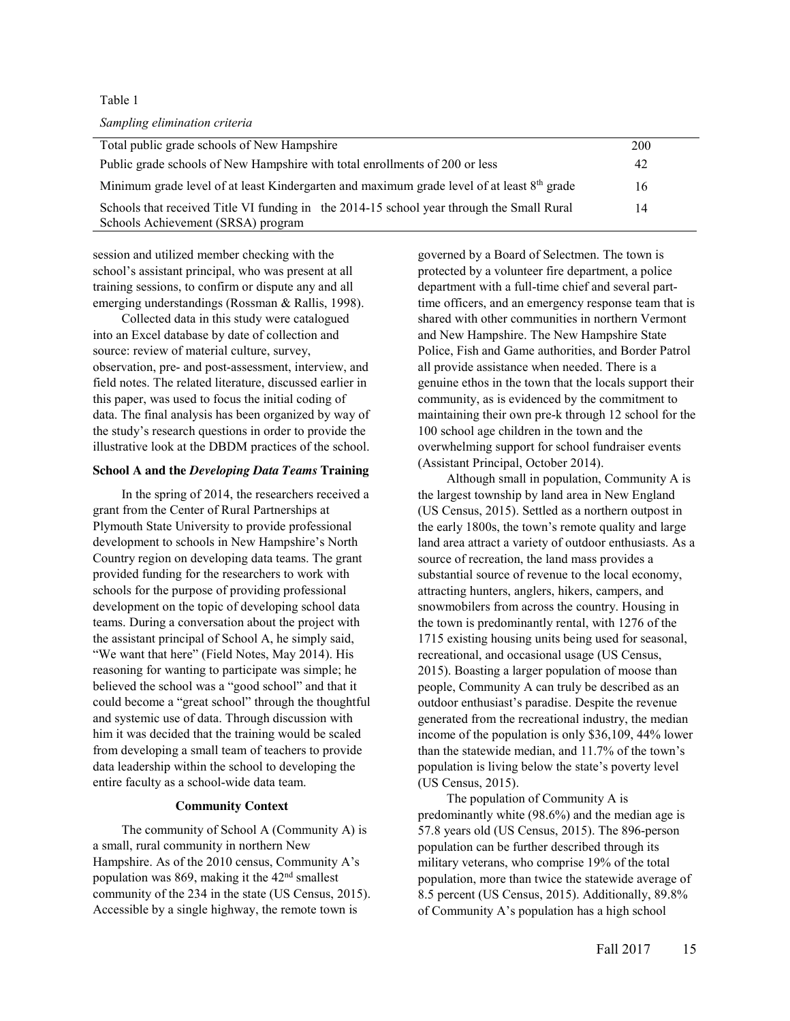#### Table 1

#### *Sampling elimination criteria*

| Total public grade schools of New Hampshire                                                                                     | 200 |
|---------------------------------------------------------------------------------------------------------------------------------|-----|
| Public grade schools of New Hampshire with total enrollments of 200 or less                                                     | 42  |
| Minimum grade level of at least Kindergarten and maximum grade level of at least $8th$ grade                                    | 16  |
| Schools that received Title VI funding in the 2014-15 school year through the Small Rural<br>Schools Achievement (SRSA) program | 14  |

session and utilized member checking with the school's assistant principal, who was present at all training sessions, to confirm or dispute any and all emerging understandings (Rossman & Rallis, 1998).

Collected data in this study were catalogued into an Excel database by date of collection and source: review of material culture, survey, observation, pre- and post-assessment, interview, and field notes. The related literature, discussed earlier in this paper, was used to focus the initial coding of data. The final analysis has been organized by way of the study's research questions in order to provide the illustrative look at the DBDM practices of the school.

#### **School A and the** *Developing Data Teams* **Training**

In the spring of 2014, the researchers received a grant from the Center of Rural Partnerships at Plymouth State University to provide professional development to schools in New Hampshire's North Country region on developing data teams. The grant provided funding for the researchers to work with schools for the purpose of providing professional development on the topic of developing school data teams. During a conversation about the project with the assistant principal of School A, he simply said, "We want that here" (Field Notes, May 2014). His reasoning for wanting to participate was simple; he believed the school was a "good school" and that it could become a "great school" through the thoughtful and systemic use of data. Through discussion with him it was decided that the training would be scaled from developing a small team of teachers to provide data leadership within the school to developing the entire faculty as a school-wide data team.

#### **Community Context**

The community of School A (Community A) is a small, rural community in northern New Hampshire. As of the 2010 census, Community A's population was 869, making it the 42nd smallest community of the 234 in the state (US Census, 2015). Accessible by a single highway, the remote town is

governed by a Board of Selectmen. The town is protected by a volunteer fire department, a police department with a full-time chief and several parttime officers, and an emergency response team that is shared with other communities in northern Vermont and New Hampshire. The New Hampshire State Police, Fish and Game authorities, and Border Patrol all provide assistance when needed. There is a genuine ethos in the town that the locals support their community, as is evidenced by the commitment to maintaining their own pre-k through 12 school for the 100 school age children in the town and the overwhelming support for school fundraiser events (Assistant Principal, October 2014).

Although small in population, Community A is the largest township by land area in New England (US Census, 2015). Settled as a northern outpost in the early 1800s, the town's remote quality and large land area attract a variety of outdoor enthusiasts. As a source of recreation, the land mass provides a substantial source of revenue to the local economy, attracting hunters, anglers, hikers, campers, and snowmobilers from across the country. Housing in the town is predominantly rental, with 1276 of the 1715 existing housing units being used for seasonal, recreational, and occasional usage (US Census, 2015). Boasting a larger population of moose than people, Community A can truly be described as an outdoor enthusiast's paradise. Despite the revenue generated from the recreational industry, the median income of the population is only \$36,109, 44% lower than the statewide median, and 11.7% of the town's population is living below the state's poverty level (US Census, 2015).

The population of Community A is predominantly white (98.6%) and the median age is 57.8 years old (US Census, 2015). The 896-person population can be further described through its military veterans, who comprise 19% of the total population, more than twice the statewide average of 8.5 percent (US Census, 2015). Additionally, 89.8% of Community A's population has a high school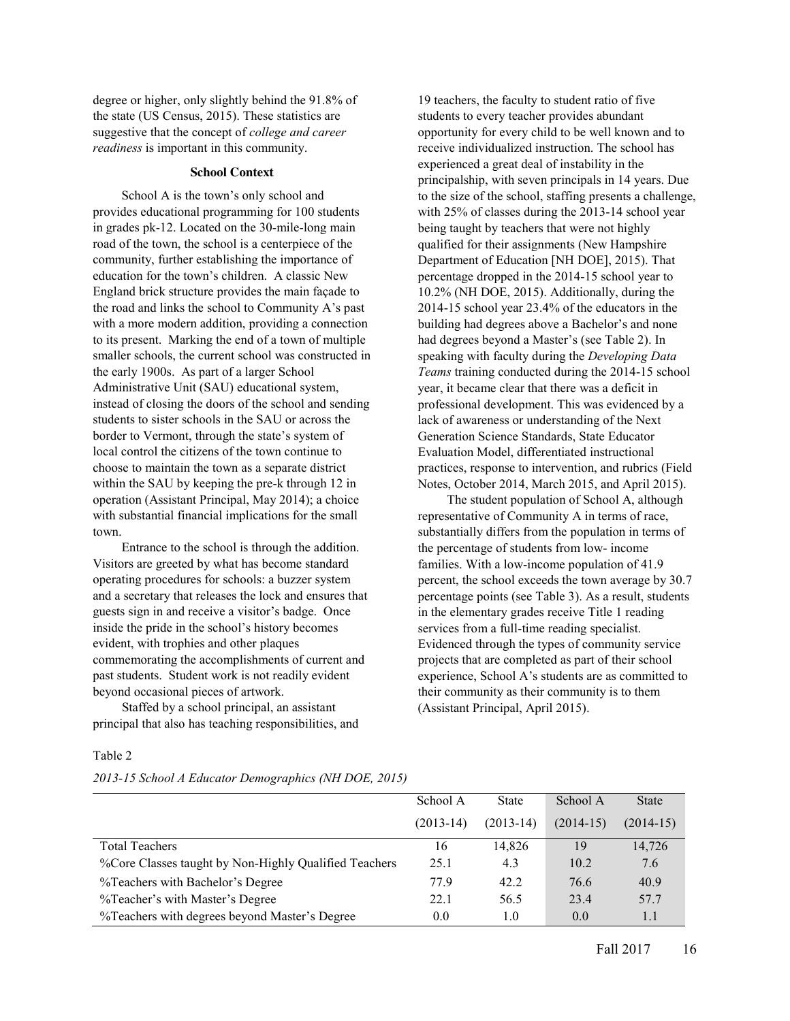degree or higher, only slightly behind the 91.8% of the state (US Census, 2015). These statistics are suggestive that the concept of *college and career readiness* is important in this community.

#### **School Context**

School A is the town's only school and provides educational programming for 100 students in grades pk-12. Located on the 30-mile-long main road of the town, the school is a centerpiece of the community, further establishing the importance of education for the town's children. A classic New England brick structure provides the main façade to the road and links the school to Community A's past with a more modern addition, providing a connection to its present. Marking the end of a town of multiple smaller schools, the current school was constructed in the early 1900s. As part of a larger School Administrative Unit (SAU) educational system, instead of closing the doors of the school and sending students to sister schools in the SAU or across the border to Vermont, through the state's system of local control the citizens of the town continue to choose to maintain the town as a separate district within the SAU by keeping the pre-k through 12 in operation (Assistant Principal, May 2014); a choice with substantial financial implications for the small town.

Entrance to the school is through the addition. Visitors are greeted by what has become standard operating procedures for schools: a buzzer system and a secretary that releases the lock and ensures that guests sign in and receive a visitor's badge. Once inside the pride in the school's history becomes evident, with trophies and other plaques commemorating the accomplishments of current and past students. Student work is not readily evident beyond occasional pieces of artwork.

Staffed by a school principal, an assistant principal that also has teaching responsibilities, and

19 teachers, the faculty to student ratio of five students to every teacher provides abundant opportunity for every child to be well known and to receive individualized instruction. The school has experienced a great deal of instability in the principalship, with seven principals in 14 years. Due to the size of the school, staffing presents a challenge, with 25% of classes during the 2013-14 school year being taught by teachers that were not highly qualified for their assignments (New Hampshire Department of Education [NH DOE], 2015). That percentage dropped in the 2014-15 school year to 10.2% (NH DOE, 2015). Additionally, during the 2014-15 school year 23.4% of the educators in the building had degrees above a Bachelor's and none had degrees beyond a Master's (see Table 2). In speaking with faculty during the *Developing Data Teams* training conducted during the 2014-15 school year, it became clear that there was a deficit in professional development. This was evidenced by a lack of awareness or understanding of the Next Generation Science Standards, State Educator Evaluation Model, differentiated instructional practices, response to intervention, and rubrics (Field Notes, October 2014, March 2015, and April 2015).

The student population of School A, although representative of Community A in terms of race, substantially differs from the population in terms of the percentage of students from low- income families. With a low-income population of 41.9 percent, the school exceeds the town average by 30.7 percentage points (see Table 3). As a result, students in the elementary grades receive Title 1 reading services from a full-time reading specialist. Evidenced through the types of community service projects that are completed as part of their school experience, School A's students are as committed to their community as their community is to them (Assistant Principal, April 2015).

#### Table 2

*2013-15 School A Educator Demographics (NH DOE, 2015)*

|                                                       | School A    | <b>State</b> | School A    | <b>State</b> |
|-------------------------------------------------------|-------------|--------------|-------------|--------------|
|                                                       | $(2013-14)$ | $(2013-14)$  | $(2014-15)$ | $(2014-15)$  |
| <b>Total Teachers</b>                                 | 16          | 14.826       | 19          | 14,726       |
| %Core Classes taught by Non-Highly Qualified Teachers | 25.1        | 4.3          | 10.2        | 7.6          |
| %Teachers with Bachelor's Degree                      | 77.9        | 42.2         | 76.6        | 40.9         |
| %Teacher's with Master's Degree                       | 22.1        | 56.5         | 23.4        | 57.7         |
| %Teachers with degrees beyond Master's Degree         | 0.0         | 1.0          | 0.0         | 1.1          |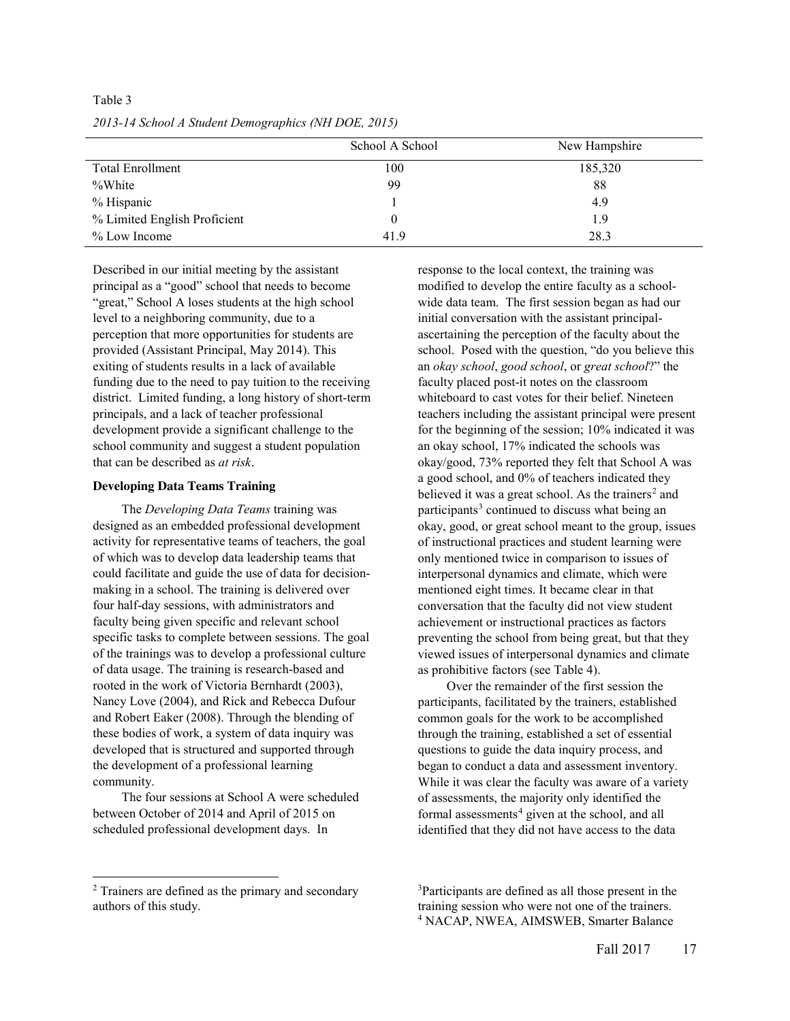|                              | School A School | New Hampshire |
|------------------------------|-----------------|---------------|
| <b>Total Enrollment</b>      | 100             | 185,320       |
| %White                       | 99              | 88            |
| % Hispanic                   |                 | 4.9           |
| % Limited English Proficient |                 | 1.9           |
| % Low Income                 | 41.9            | 28.3          |

*2013-14 School A Student Demographics (NH DOE, 2015)*

Table 3

Described in our initial meeting by the assistant principal as a "good" school that needs to become "great," School A loses students at the high school level to a neighboring community, due to a perception that more opportunities for students are provided (Assistant Principal, May 2014). This exiting of students results in a lack of available funding due to the need to pay tuition to the receiving district. Limited funding, a long history of short-term principals, and a lack of teacher professional development provide a significant challenge to the school community and suggest a student population that can be described as *at risk*.

#### **Developing Data Teams Training**

The *Developing Data Teams* training was designed as an embedded professional development activity for representative teams of teachers, the goal of which was to develop data leadership teams that could facilitate and guide the use of data for decisionmaking in a school. The training is delivered over four half-day sessions, with administrators and faculty being given specific and relevant school specific tasks to complete between sessions. The goal of the trainings was to develop a professional culture of data usage. The training is research-based and rooted in the work of Victoria Bernhardt (2003), Nancy Love (2004), and Rick and Rebecca Dufour and Robert Eaker (2008). Through the blending of these bodies of work, a system of data inquiry was developed that is structured and supported through the development of a professional learning community.

The four sessions at School A were scheduled between October of 2014 and April of 2015 on scheduled professional development days. In

response to the local context, the training was modified to develop the entire faculty as a schoolwide data team. The first session began as had our initial conversation with the assistant principalascertaining the perception of the faculty about the school. Posed with the question, "do you believe this an *okay school*, *good school*, or *great school*?" the faculty placed post-it notes on the classroom whiteboard to cast votes for their belief. Nineteen teachers including the assistant principal were present for the beginning of the session; 10% indicated it was an okay school, 17% indicated the schools was okay/good, 73% reported they felt that School A was a good school, and 0% of teachers indicated they believed it was a great school. As the trainers<sup>2</sup> and participants<sup>3</sup> continued to discuss what being an okay, good, or great school meant to the group, issues of instructional practices and student learning were only mentioned twice in comparison to issues of interpersonal dynamics and climate, which were mentioned eight times. It became clear in that conversation that the faculty did not view student achievement or instructional practices as factors preventing the school from being great, but that they viewed issues of interpersonal dynamics and climate as prohibitive factors (see Table 4).

Over the remainder of the first session the participants, facilitated by the trainers, established common goals for the work to be accomplished through the training, established a set of essential questions to guide the data inquiry process, and began to conduct a data and assessment inventory. While it was clear the faculty was aware of a variety of assessments, the majority only identified the formal assessments $4$  given at the school, and all identified that they did not have access to the data

l

<sup>2</sup> Trainers are defined as the primary and secondary authors of this study.

<sup>3</sup> Participants are defined as all those present in the training session who were not one of the trainers. <sup>4</sup> NACAP, NWEA, AIMSWEB, Smarter Balance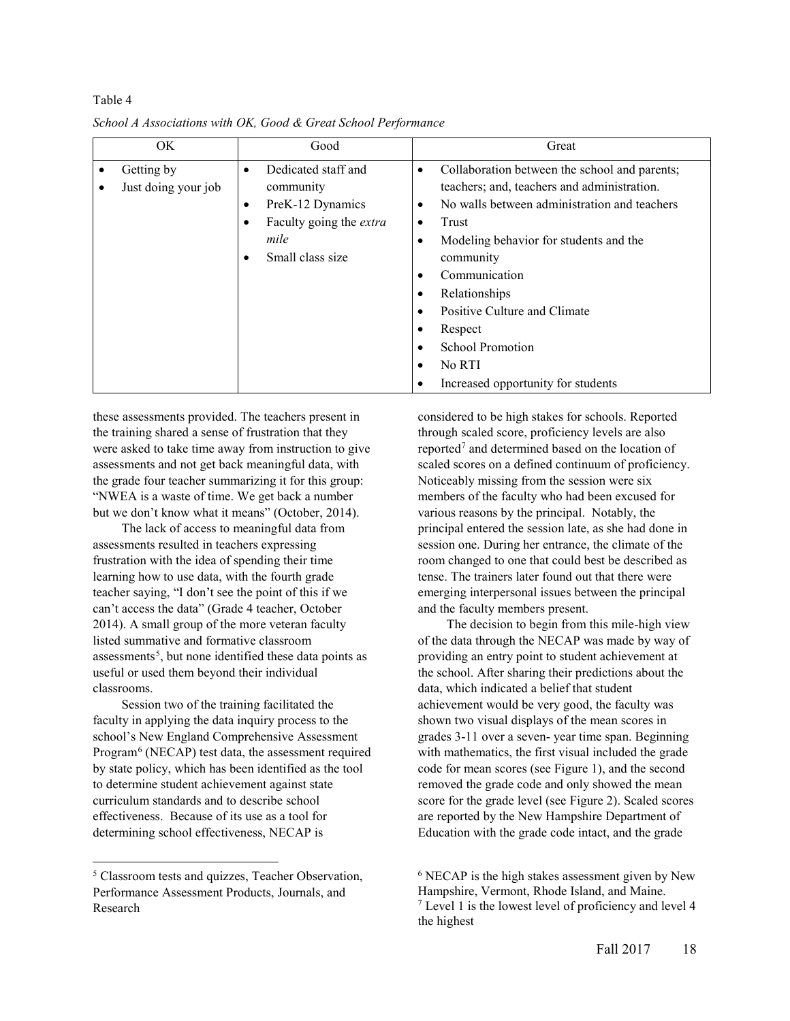| OK.                               | Good                                                                                                                            | Great                                                                                                                                                                                                                                                                                                                                                                                                                                                                               |
|-----------------------------------|---------------------------------------------------------------------------------------------------------------------------------|-------------------------------------------------------------------------------------------------------------------------------------------------------------------------------------------------------------------------------------------------------------------------------------------------------------------------------------------------------------------------------------------------------------------------------------------------------------------------------------|
| Getting by<br>Just doing your job | Dedicated staff and<br>٠<br>community<br>PreK-12 Dynamics<br>٠<br>Faculty going the extra<br>٠<br>mile<br>Small class size<br>٠ | Collaboration between the school and parents;<br>٠<br>teachers; and, teachers and administration.<br>No walls between administration and teachers<br>$\bullet$<br>Trust<br>$\bullet$<br>Modeling behavior for students and the<br>$\bullet$<br>community<br>Communication<br>$\bullet$<br>Relationships<br>٠<br>Positive Culture and Climate<br>$\bullet$<br>Respect<br>٠<br><b>School Promotion</b><br>$\bullet$<br>No RTI<br>$\bullet$<br>Increased opportunity for students<br>٠ |

Table 4 *School A Associations with OK, Good & Great School Performance*

these assessments provided. The teachers present in the training shared a sense of frustration that they were asked to take time away from instruction to give assessments and not get back meaningful data, with the grade four teacher summarizing it for this group: "NWEA is a waste of time. We get back a number but we don't know what it means" (October, 2014).

The lack of access to meaningful data from assessments resulted in teachers expressing frustration with the idea of spending their time learning how to use data, with the fourth grade teacher saying, "I don't see the point of this if we can't access the data" (Grade 4 teacher, October 2014). A small group of the more veteran faculty listed summative and formative classroom assessments<sup>5</sup>, but none identified these data points as useful or used them beyond their individual classrooms.

Session two of the training facilitated the faculty in applying the data inquiry process to the school's New England Comprehensive Assessment Program<sup>6</sup> (NECAP) test data, the assessment required by state policy, which has been identified as the tool to determine student achievement against state curriculum standards and to describe school effectiveness. Because of its use as a tool for determining school effectiveness, NECAP is

l

considered to be high stakes for schools. Reported through scaled score, proficiency levels are also reported<sup>7</sup> and determined based on the location of scaled scores on a defined continuum of proficiency. Noticeably missing from the session were six members of the faculty who had been excused for various reasons by the principal. Notably, the principal entered the session late, as she had done in session one. During her entrance, the climate of the room changed to one that could best be described as tense. The trainers later found out that there were emerging interpersonal issues between the principal and the faculty members present.

The decision to begin from this mile-high view of the data through the NECAP was made by way of providing an entry point to student achievement at the school. After sharing their predictions about the data, which indicated a belief that student achievement would be very good, the faculty was shown two visual displays of the mean scores in grades 3-11 over a seven- year time span. Beginning with mathematics, the first visual included the grade code for mean scores (see Figure 1), and the second removed the grade code and only showed the mean score for the grade level (see Figure 2). Scaled scores are reported by the New Hampshire Department of Education with the grade code intact, and the grade

<sup>5</sup> Classroom tests and quizzes, Teacher Observation, Performance Assessment Products, Journals, and Research

<sup>&</sup>lt;sup>6</sup> NECAP is the high stakes assessment given by New Hampshire, Vermont, Rhode Island, and Maine. <sup>7</sup> Level 1 is the lowest level of proficiency and level 4 the highest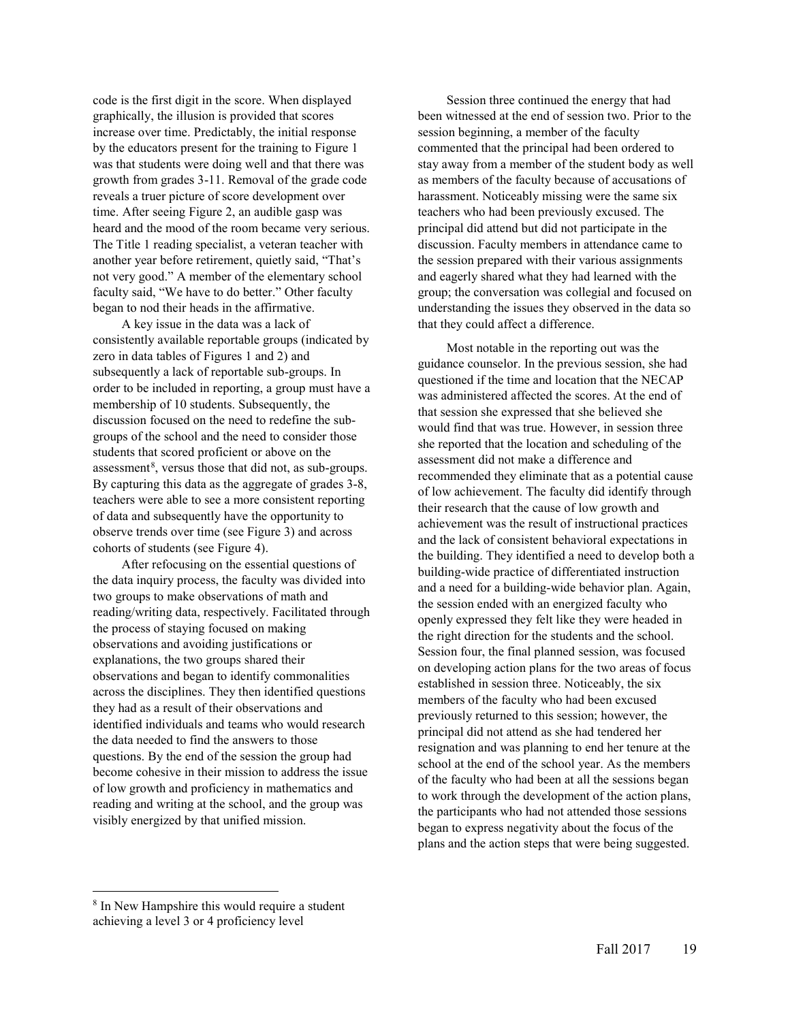code is the first digit in the score. When displayed graphically, the illusion is provided that scores increase over time. Predictably, the initial response by the educators present for the training to Figure 1 was that students were doing well and that there was growth from grades 3-11. Removal of the grade code reveals a truer picture of score development over time. After seeing Figure 2, an audible gasp was heard and the mood of the room became very serious. The Title 1 reading specialist, a veteran teacher with another year before retirement, quietly said, "That's not very good." A member of the elementary school faculty said, "We have to do better." Other faculty began to nod their heads in the affirmative.

A key issue in the data was a lack of consistently available reportable groups (indicated by zero in data tables of Figures 1 and 2) and subsequently a lack of reportable sub-groups. In order to be included in reporting, a group must have a membership of 10 students. Subsequently, the discussion focused on the need to redefine the subgroups of the school and the need to consider those students that scored proficient or above on the assessment<sup>8</sup>, versus those that did not, as sub-groups. By capturing this data as the aggregate of grades 3-8, teachers were able to see a more consistent reporting of data and subsequently have the opportunity to observe trends over time (see Figure 3) and across cohorts of students (see Figure 4).

After refocusing on the essential questions of the data inquiry process, the faculty was divided into two groups to make observations of math and reading/writing data, respectively. Facilitated through the process of staying focused on making observations and avoiding justifications or explanations, the two groups shared their observations and began to identify commonalities across the disciplines. They then identified questions they had as a result of their observations and identified individuals and teams who would research the data needed to find the answers to those questions. By the end of the session the group had become cohesive in their mission to address the issue of low growth and proficiency in mathematics and reading and writing at the school, and the group was visibly energized by that unified mission.

Session three continued the energy that had been witnessed at the end of session two. Prior to the session beginning, a member of the faculty commented that the principal had been ordered to stay away from a member of the student body as well as members of the faculty because of accusations of harassment. Noticeably missing were the same six teachers who had been previously excused. The principal did attend but did not participate in the discussion. Faculty members in attendance came to the session prepared with their various assignments and eagerly shared what they had learned with the group; the conversation was collegial and focused on understanding the issues they observed in the data so that they could affect a difference.

Most notable in the reporting out was the guidance counselor. In the previous session, she had questioned if the time and location that the NECAP was administered affected the scores. At the end of that session she expressed that she believed she would find that was true. However, in session three she reported that the location and scheduling of the assessment did not make a difference and recommended they eliminate that as a potential cause of low achievement. The faculty did identify through their research that the cause of low growth and achievement was the result of instructional practices and the lack of consistent behavioral expectations in the building. They identified a need to develop both a building-wide practice of differentiated instruction and a need for a building-wide behavior plan. Again, the session ended with an energized faculty who openly expressed they felt like they were headed in the right direction for the students and the school. Session four, the final planned session, was focused on developing action plans for the two areas of focus established in session three. Noticeably, the six members of the faculty who had been excused previously returned to this session; however, the principal did not attend as she had tendered her resignation and was planning to end her tenure at the school at the end of the school year. As the members of the faculty who had been at all the sessions began to work through the development of the action plans, the participants who had not attended those sessions began to express negativity about the focus of the plans and the action steps that were being suggested.

l

<sup>8</sup> In New Hampshire this would require a student achieving a level 3 or 4 proficiency level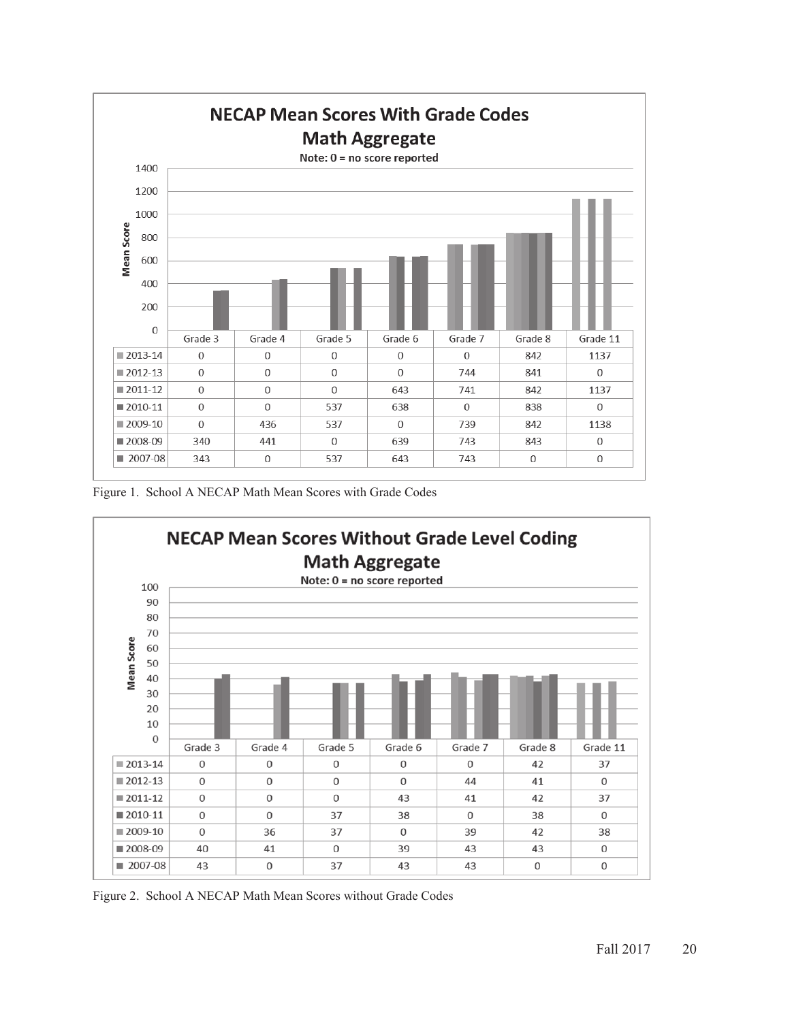

Figure 1. School A NECAP Math Mean Scores with Grade Codes



Figure 2. School A NECAP Math Mean Scores without Grade Codes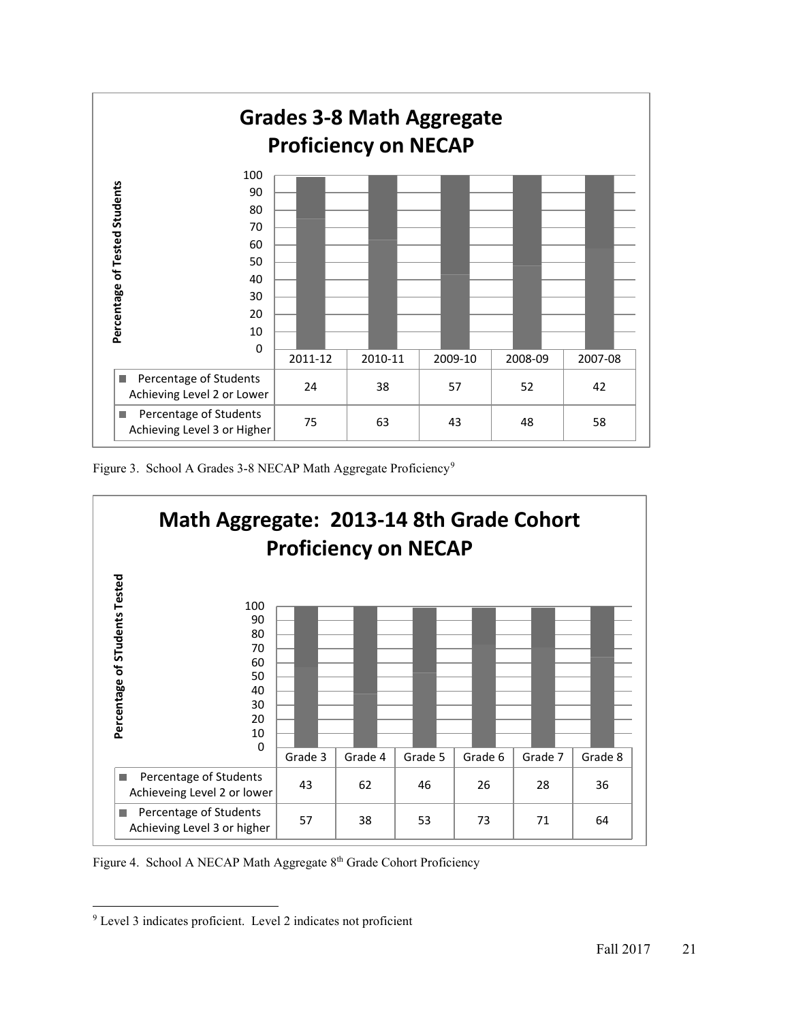

Figure 3. School A Grades 3-8 NECAP Math Aggregate Proficiency<sup>9</sup>



Figure 4. School A NECAP Math Aggregate 8<sup>th</sup> Grade Cohort Proficiency

l <sup>9</sup> Level 3 indicates proficient. Level 2 indicates not proficient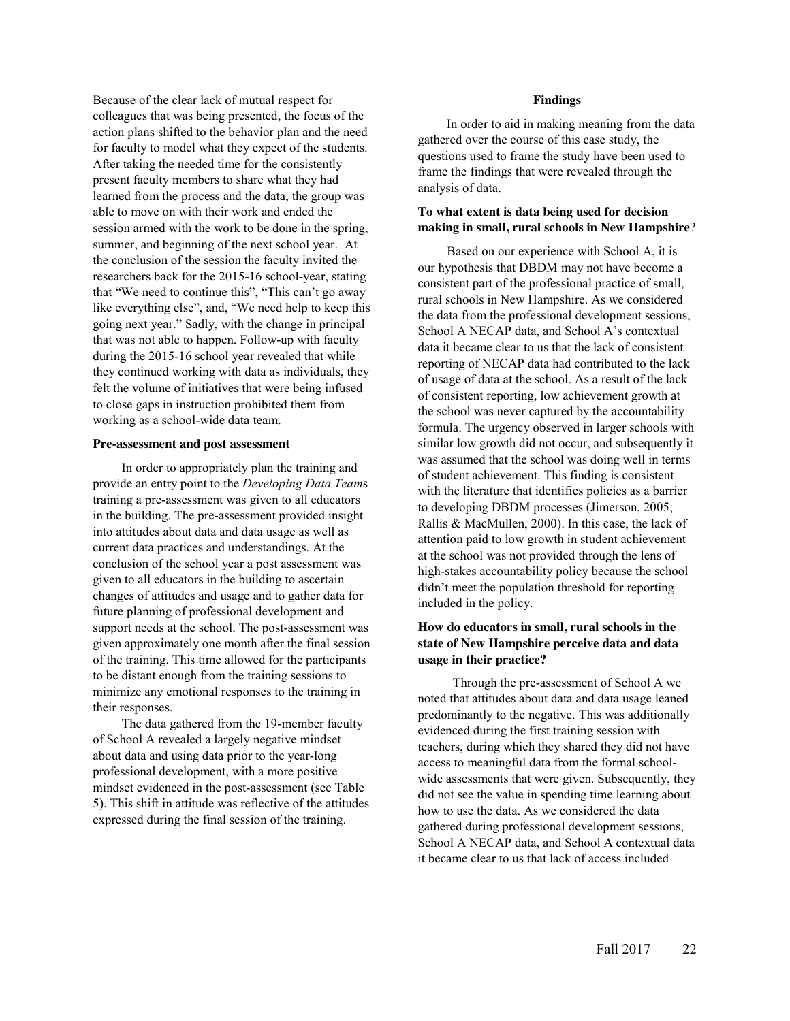Because of the clear lack of mutual respect for colleagues that was being presented, the focus of the action plans shifted to the behavior plan and the need for faculty to model what they expect of the students. After taking the needed time for the consistently present faculty members to share what they had learned from the process and the data, the group was able to move on with their work and ended the session armed with the work to be done in the spring, summer, and beginning of the next school year. At the conclusion of the session the faculty invited the researchers back for the 2015-16 school-year, stating that "We need to continue this", "This can't go away like everything else", and, "We need help to keep this going next year." Sadly, with the change in principal that was not able to happen. Follow-up with faculty during the 2015-16 school year revealed that while they continued working with data as individuals, they felt the volume of initiatives that were being infused to close gaps in instruction prohibited them from working as a school-wide data team.

#### **Pre-assessment and post assessment**

In order to appropriately plan the training and provide an entry point to the *Developing Data Team*s training a pre-assessment was given to all educators in the building. The pre-assessment provided insight into attitudes about data and data usage as well as current data practices and understandings. At the conclusion of the school year a post assessment was given to all educators in the building to ascertain changes of attitudes and usage and to gather data for future planning of professional development and support needs at the school. The post-assessment was given approximately one month after the final session of the training. This time allowed for the participants to be distant enough from the training sessions to minimize any emotional responses to the training in their responses.

The data gathered from the 19-member faculty of School A revealed a largely negative mindset about data and using data prior to the year-long professional development, with a more positive mindset evidenced in the post-assessment (see Table 5). This shift in attitude was reflective of the attitudes expressed during the final session of the training.

#### **Findings**

In order to aid in making meaning from the data gathered over the course of this case study, the questions used to frame the study have been used to frame the findings that were revealed through the analysis of data.

## **To what extent is data being used for decision making in small, rural schools in New Hampshire**?

Based on our experience with School A, it is our hypothesis that DBDM may not have become a consistent part of the professional practice of small, rural schools in New Hampshire. As we considered the data from the professional development sessions, School A NECAP data, and School A's contextual data it became clear to us that the lack of consistent reporting of NECAP data had contributed to the lack of usage of data at the school. As a result of the lack of consistent reporting, low achievement growth at the school was never captured by the accountability formula. The urgency observed in larger schools with similar low growth did not occur, and subsequently it was assumed that the school was doing well in terms of student achievement. This finding is consistent with the literature that identifies policies as a barrier to developing DBDM processes (Jimerson, 2005; Rallis & MacMullen, 2000). In this case, the lack of attention paid to low growth in student achievement at the school was not provided through the lens of high-stakes accountability policy because the school didn't meet the population threshold for reporting included in the policy.

# **How do educators in small, rural schools in the state of New Hampshire perceive data and data usage in their practice?**

Through the pre-assessment of School A we noted that attitudes about data and data usage leaned predominantly to the negative. This was additionally evidenced during the first training session with teachers, during which they shared they did not have access to meaningful data from the formal schoolwide assessments that were given. Subsequently, they did not see the value in spending time learning about how to use the data. As we considered the data gathered during professional development sessions, School A NECAP data, and School A contextual data it became clear to us that lack of access included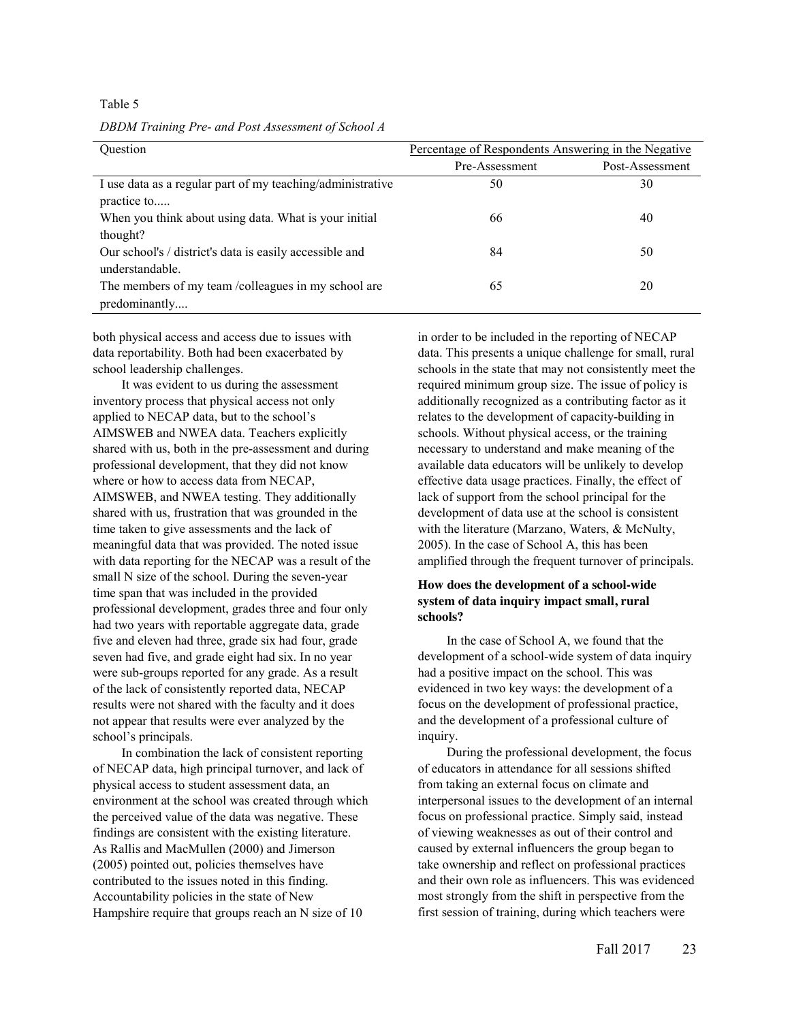Table 5

*DBDM Training Pre- and Post Assessment of School A* 

| <b>Ouestion</b>                                            | Percentage of Respondents Answering in the Negative |                 |
|------------------------------------------------------------|-----------------------------------------------------|-----------------|
|                                                            | Pre-Assessment                                      | Post-Assessment |
| I use data as a regular part of my teaching/administrative | 50                                                  | 30              |
| practice to                                                |                                                     |                 |
| When you think about using data. What is your initial      | 66                                                  | 40              |
| thought?                                                   |                                                     |                 |
| Our school's / district's data is easily accessible and    | 84                                                  | 50              |
| understandable.                                            |                                                     |                 |
| The members of my team /colleagues in my school are        | 65                                                  | 20              |
| predominantly                                              |                                                     |                 |

both physical access and access due to issues with data reportability. Both had been exacerbated by school leadership challenges.

It was evident to us during the assessment inventory process that physical access not only applied to NECAP data, but to the school's AIMSWEB and NWEA data. Teachers explicitly shared with us, both in the pre-assessment and during professional development, that they did not know where or how to access data from NECAP, AIMSWEB, and NWEA testing. They additionally shared with us, frustration that was grounded in the time taken to give assessments and the lack of meaningful data that was provided. The noted issue with data reporting for the NECAP was a result of the small N size of the school. During the seven-year time span that was included in the provided professional development, grades three and four only had two years with reportable aggregate data, grade five and eleven had three, grade six had four, grade seven had five, and grade eight had six. In no year were sub-groups reported for any grade. As a result of the lack of consistently reported data, NECAP results were not shared with the faculty and it does not appear that results were ever analyzed by the school's principals.

In combination the lack of consistent reporting of NECAP data, high principal turnover, and lack of physical access to student assessment data, an environment at the school was created through which the perceived value of the data was negative. These findings are consistent with the existing literature. As Rallis and MacMullen (2000) and Jimerson (2005) pointed out, policies themselves have contributed to the issues noted in this finding. Accountability policies in the state of New Hampshire require that groups reach an N size of 10

in order to be included in the reporting of NECAP data. This presents a unique challenge for small, rural schools in the state that may not consistently meet the required minimum group size. The issue of policy is additionally recognized as a contributing factor as it relates to the development of capacity-building in schools. Without physical access, or the training necessary to understand and make meaning of the available data educators will be unlikely to develop effective data usage practices. Finally, the effect of lack of support from the school principal for the development of data use at the school is consistent with the literature (Marzano, Waters, & McNulty, 2005). In the case of School A, this has been amplified through the frequent turnover of principals.

## **How does the development of a school-wide system of data inquiry impact small, rural schools?**

In the case of School A, we found that the development of a school-wide system of data inquiry had a positive impact on the school. This was evidenced in two key ways: the development of a focus on the development of professional practice, and the development of a professional culture of inquiry.

During the professional development, the focus of educators in attendance for all sessions shifted from taking an external focus on climate and interpersonal issues to the development of an internal focus on professional practice. Simply said, instead of viewing weaknesses as out of their control and caused by external influencers the group began to take ownership and reflect on professional practices and their own role as influencers. This was evidenced most strongly from the shift in perspective from the first session of training, during which teachers were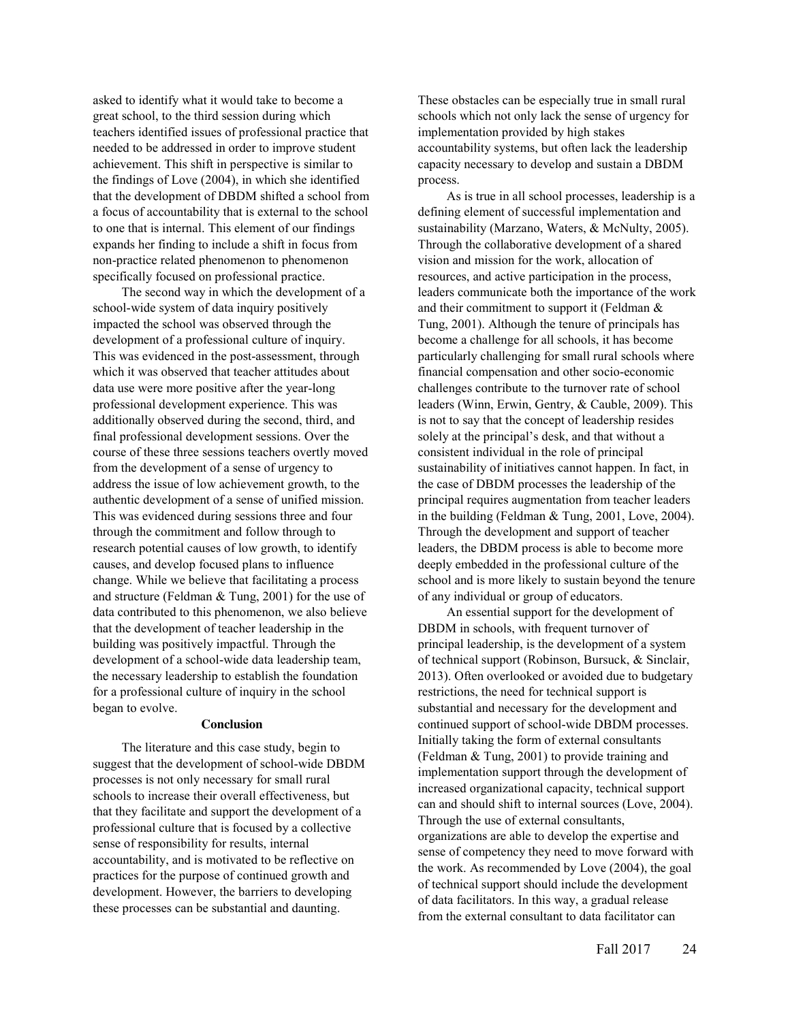asked to identify what it would take to become a great school, to the third session during which teachers identified issues of professional practice that needed to be addressed in order to improve student achievement. This shift in perspective is similar to the findings of Love (2004), in which she identified that the development of DBDM shifted a school from a focus of accountability that is external to the school to one that is internal. This element of our findings expands her finding to include a shift in focus from non-practice related phenomenon to phenomenon specifically focused on professional practice.

The second way in which the development of a school-wide system of data inquiry positively impacted the school was observed through the development of a professional culture of inquiry. This was evidenced in the post-assessment, through which it was observed that teacher attitudes about data use were more positive after the year-long professional development experience. This was additionally observed during the second, third, and final professional development sessions. Over the course of these three sessions teachers overtly moved from the development of a sense of urgency to address the issue of low achievement growth, to the authentic development of a sense of unified mission. This was evidenced during sessions three and four through the commitment and follow through to research potential causes of low growth, to identify causes, and develop focused plans to influence change. While we believe that facilitating a process and structure (Feldman & Tung, 2001) for the use of data contributed to this phenomenon, we also believe that the development of teacher leadership in the building was positively impactful. Through the development of a school-wide data leadership team, the necessary leadership to establish the foundation for a professional culture of inquiry in the school began to evolve.

#### **Conclusion**

The literature and this case study, begin to suggest that the development of school-wide DBDM processes is not only necessary for small rural schools to increase their overall effectiveness, but that they facilitate and support the development of a professional culture that is focused by a collective sense of responsibility for results, internal accountability, and is motivated to be reflective on practices for the purpose of continued growth and development. However, the barriers to developing these processes can be substantial and daunting.

These obstacles can be especially true in small rural schools which not only lack the sense of urgency for implementation provided by high stakes accountability systems, but often lack the leadership capacity necessary to develop and sustain a DBDM process.

As is true in all school processes, leadership is a defining element of successful implementation and sustainability (Marzano, Waters, & McNulty, 2005). Through the collaborative development of a shared vision and mission for the work, allocation of resources, and active participation in the process, leaders communicate both the importance of the work and their commitment to support it (Feldman & Tung, 2001). Although the tenure of principals has become a challenge for all schools, it has become particularly challenging for small rural schools where financial compensation and other socio-economic challenges contribute to the turnover rate of school leaders (Winn, Erwin, Gentry, & Cauble, 2009). This is not to say that the concept of leadership resides solely at the principal's desk, and that without a consistent individual in the role of principal sustainability of initiatives cannot happen. In fact, in the case of DBDM processes the leadership of the principal requires augmentation from teacher leaders in the building (Feldman & Tung, 2001, Love, 2004). Through the development and support of teacher leaders, the DBDM process is able to become more deeply embedded in the professional culture of the school and is more likely to sustain beyond the tenure of any individual or group of educators.

An essential support for the development of DBDM in schools, with frequent turnover of principal leadership, is the development of a system of technical support (Robinson, Bursuck, & Sinclair, 2013). Often overlooked or avoided due to budgetary restrictions, the need for technical support is substantial and necessary for the development and continued support of school-wide DBDM processes. Initially taking the form of external consultants (Feldman & Tung, 2001) to provide training and implementation support through the development of increased organizational capacity, technical support can and should shift to internal sources (Love, 2004). Through the use of external consultants, organizations are able to develop the expertise and sense of competency they need to move forward with the work. As recommended by Love (2004), the goal of technical support should include the development of data facilitators. In this way, a gradual release from the external consultant to data facilitator can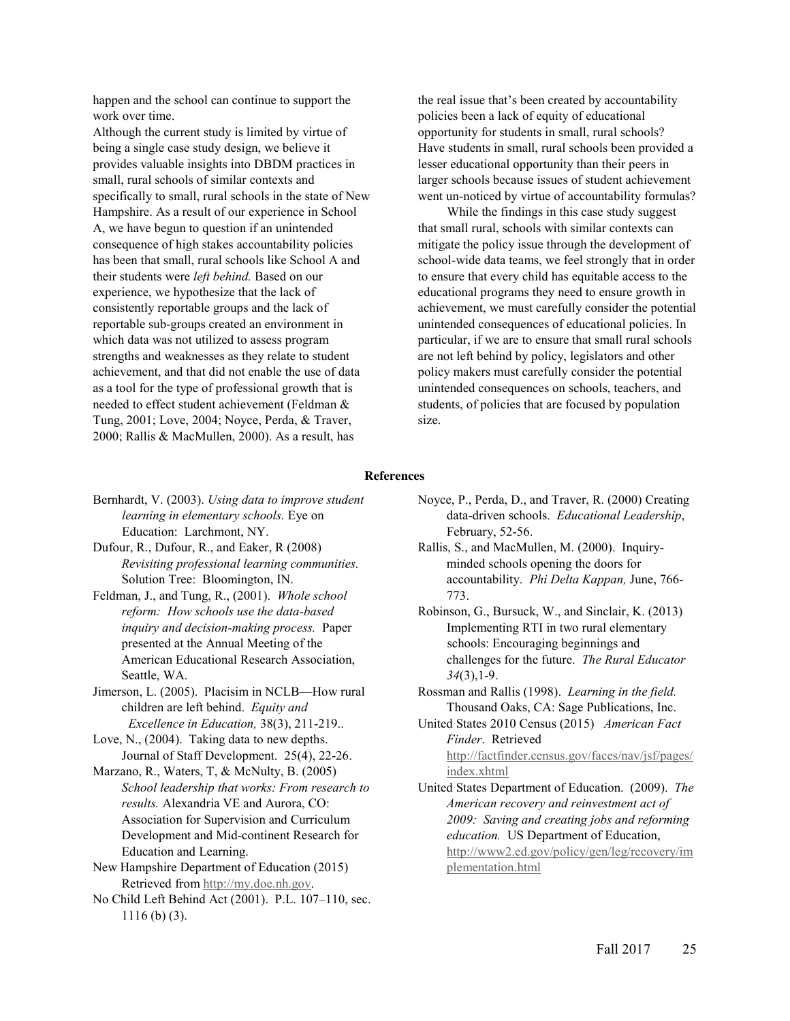happen and the school can continue to support the work over time.

Although the current study is limited by virtue of being a single case study design, we believe it provides valuable insights into DBDM practices in small, rural schools of similar contexts and specifically to small, rural schools in the state of New Hampshire. As a result of our experience in School A, we have begun to question if an unintended consequence of high stakes accountability policies has been that small, rural schools like School A and their students were *left behind.* Based on our experience, we hypothesize that the lack of consistently reportable groups and the lack of reportable sub-groups created an environment in which data was not utilized to assess program strengths and weaknesses as they relate to student achievement, and that did not enable the use of data as a tool for the type of professional growth that is needed to effect student achievement (Feldman & Tung, 2001; Love, 2004; Noyce, Perda, & Traver, 2000; Rallis & MacMullen, 2000). As a result, has

the real issue that's been created by accountability policies been a lack of equity of educational opportunity for students in small, rural schools? Have students in small, rural schools been provided a lesser educational opportunity than their peers in larger schools because issues of student achievement went un-noticed by virtue of accountability formulas?

While the findings in this case study suggest that small rural, schools with similar contexts can mitigate the policy issue through the development of school-wide data teams, we feel strongly that in order to ensure that every child has equitable access to the educational programs they need to ensure growth in achievement, we must carefully consider the potential unintended consequences of educational policies. In particular, if we are to ensure that small rural schools are not left behind by policy, legislators and other policy makers must carefully consider the potential unintended consequences on schools, teachers, and students, of policies that are focused by population size.

#### **References**

- Bernhardt, V. (2003). *Using data to improve student learning in elementary schools.* Eye on Education: Larchmont, NY.
- Dufour, R., Dufour, R., and Eaker, R (2008) *Revisiting professional learning communities.* Solution Tree: Bloomington, IN.
- Feldman, J., and Tung, R., (2001). *Whole school reform: How schools use the data-based inquiry and decision-making process.* Paper presented at the Annual Meeting of the American Educational Research Association, Seattle, WA.
- Jimerson, L. (2005). Placisim in NCLB—How rural children are left behind. *Equity and Excellence in Education,* 38(3), 211-219..
- Love, N., (2004). Taking data to new depths. Journal of Staff Development. 25(4), 22-26.
- Marzano, R., Waters, T, & McNulty, B. (2005) *School leadership that works: From research to results.* Alexandria VE and Aurora, CO: Association for Supervision and Curriculum Development and Mid-continent Research for Education and Learning.
- New Hampshire Department of Education (2015) Retrieved from http://my.doe.nh.gov.
- No Child Left Behind Act (2001). P.L. 107–110, sec. 1116 (b) (3).
- Noyce, P., Perda, D., and Traver, R. (2000) Creating data-driven schools. *Educational Leadership*, February, 52-56.
- Rallis, S., and MacMullen, M. (2000). Inquiryminded schools opening the doors for accountability. *Phi Delta Kappan,* June, 766- 773.
- Robinson, G., Bursuck, W., and Sinclair, K. (2013) Implementing RTI in two rural elementary schools: Encouraging beginnings and challenges for the future. *The Rural Educator 34*(3),1-9.
- Rossman and Rallis (1998). *Learning in the field.* Thousand Oaks, CA: Sage Publications, Inc.
- United States 2010 Census (2015) *American Fact Finder*. Retrieved http://factfinder.census.gov/faces/nav/jsf/pages/ index.xhtml
- United States Department of Education. (2009). *The American recovery and reinvestment act of 2009: Saving and creating jobs and reforming education.* US Department of Education, http://www2.ed.gov/policy/gen/leg/recovery/im plementation.html